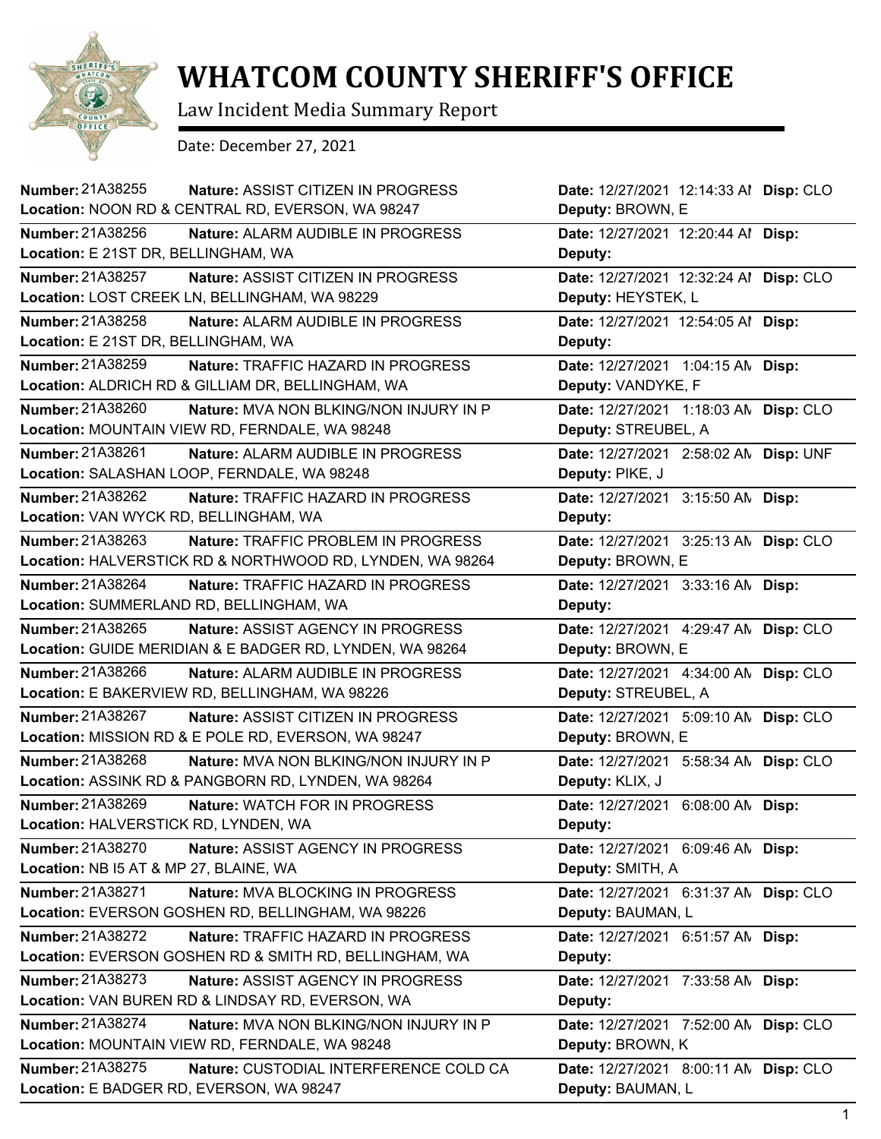

## **WHATCOM COUNTY SHERIFF'S OFFICE**

Law Incident Media Summary Report

Date: December 27, 2021

| Number: 21A38255<br>Nature: ASSIST CITIZEN IN PROGRESS              | Date: 12/27/2021 12:14:33 Al Disp: CLO |
|---------------------------------------------------------------------|----------------------------------------|
| Location: NOON RD & CENTRAL RD, EVERSON, WA 98247                   | Deputy: BROWN, E                       |
| Number: 21A38256<br><b>Nature: ALARM AUDIBLE IN PROGRESS</b>        | Date: 12/27/2021 12:20:44 Al Disp:     |
| Location: E 21ST DR, BELLINGHAM, WA                                 | Deputy:                                |
| <b>Number: 21A38257</b><br>Nature: ASSIST CITIZEN IN PROGRESS       | Date: 12/27/2021 12:32:24 Al Disp: CLO |
| Location: LOST CREEK LN, BELLINGHAM, WA 98229                       | Deputy: HEYSTEK, L                     |
| <b>Number: 21A38258</b><br>Nature: ALARM AUDIBLE IN PROGRESS        | Date: 12/27/2021 12:54:05 Al Disp:     |
| Location: E 21ST DR, BELLINGHAM, WA                                 | Deputy:                                |
| Number: 21A38259<br>Nature: TRAFFIC HAZARD IN PROGRESS              | Date: 12/27/2021 1:04:15 AN Disp:      |
| Location: ALDRICH RD & GILLIAM DR, BELLINGHAM, WA                   | Deputy: VANDYKE, F                     |
| Number: 21A38260<br>Nature: MVA NON BLKING/NON INJURY IN P          | Date: 12/27/2021 1:18:03 AN Disp: CLO  |
| Location: MOUNTAIN VIEW RD, FERNDALE, WA 98248                      | Deputy: STREUBEL, A                    |
| Number: 21A38261<br>Nature: ALARM AUDIBLE IN PROGRESS               | Date: 12/27/2021 2:58:02 AN Disp: UNF  |
| Location: SALASHAN LOOP, FERNDALE, WA 98248                         | Deputy: PIKE, J                        |
| Number: 21A38262<br>Nature: TRAFFIC HAZARD IN PROGRESS              | Date: 12/27/2021 3:15:50 AN Disp:      |
| Location: VAN WYCK RD, BELLINGHAM, WA                               | Deputy:                                |
| Number: 21A38263<br><b>Nature: TRAFFIC PROBLEM IN PROGRESS</b>      | Date: 12/27/2021 3:25:13 AN Disp: CLO  |
| Location: HALVERSTICK RD & NORTHWOOD RD, LYNDEN, WA 98264           | Deputy: BROWN, E                       |
| Number: 21A38264<br>Nature: TRAFFIC HAZARD IN PROGRESS              | Date: 12/27/2021 3:33:16 AN Disp:      |
| Location: SUMMERLAND RD, BELLINGHAM, WA                             | Deputy:                                |
| Number: 21A38265<br>Nature: ASSIST AGENCY IN PROGRESS               | Date: 12/27/2021 4:29:47 AN Disp: CLO  |
| Location: GUIDE MERIDIAN & E BADGER RD, LYNDEN, WA 98264            | Deputy: BROWN, E                       |
| <b>Number: 21A38266</b><br><b>Nature: ALARM AUDIBLE IN PROGRESS</b> | Date: 12/27/2021 4:34:00 AN Disp: CLO  |
| Location: E BAKERVIEW RD, BELLINGHAM, WA 98226                      | Deputy: STREUBEL, A                    |
| <b>Number: 21A38267</b><br>Nature: ASSIST CITIZEN IN PROGRESS       | Date: 12/27/2021 5:09:10 AN Disp: CLO  |
| Location: MISSION RD & E POLE RD, EVERSON, WA 98247                 | Deputy: BROWN, E                       |
| <b>Number: 21A38268</b><br>Nature: MVA NON BLKING/NON INJURY IN P   | Date: 12/27/2021 5:58:34 AN Disp: CLO  |
| Location: ASSINK RD & PANGBORN RD, LYNDEN, WA 98264                 | Deputy: KLIX, J                        |
| Number: 21A38269<br>Nature: WATCH FOR IN PROGRESS                   | Date: 12/27/2021 6:08:00 AM Disp:      |
| Location: HALVERSTICK RD, LYNDEN, WA                                | Deputy:                                |
| Number: 21A38270<br>Nature: ASSIST AGENCY IN PROGRESS               | Date: 12/27/2021 6:09:46 AN Disp:      |
| Location: NB I5 AT & MP 27, BLAINE, WA                              | Deputy: SMITH, A                       |
| Number: 21A38271<br>Nature: MVA BLOCKING IN PROGRESS                | Date: 12/27/2021 6:31:37 AN Disp: CLO  |
| Location: EVERSON GOSHEN RD, BELLINGHAM, WA 98226                   | Deputy: BAUMAN, L                      |
| Number: 21A38272<br>Nature: TRAFFIC HAZARD IN PROGRESS              | Date: 12/27/2021 6:51:57 AN Disp:      |
| Location: EVERSON GOSHEN RD & SMITH RD, BELLINGHAM, WA              | Deputy:                                |
| <b>Number: 21A38273</b><br>Nature: ASSIST AGENCY IN PROGRESS        | Date: 12/27/2021 7:33:58 AN Disp:      |
| Location: VAN BUREN RD & LINDSAY RD, EVERSON, WA                    | Deputy:                                |
| Number: 21A38274<br>Nature: MVA NON BLKING/NON INJURY IN P          | Date: 12/27/2021 7:52:00 AN Disp: CLO  |
| Location: MOUNTAIN VIEW RD, FERNDALE, WA 98248                      | Deputy: BROWN, K                       |
| Number: 21A38275<br>Nature: CUSTODIAL INTERFERENCE COLD CA          | Date: 12/27/2021 8:00:11 AN Disp: CLO  |
| Location: E BADGER RD, EVERSON, WA 98247                            | Deputy: BAUMAN, L                      |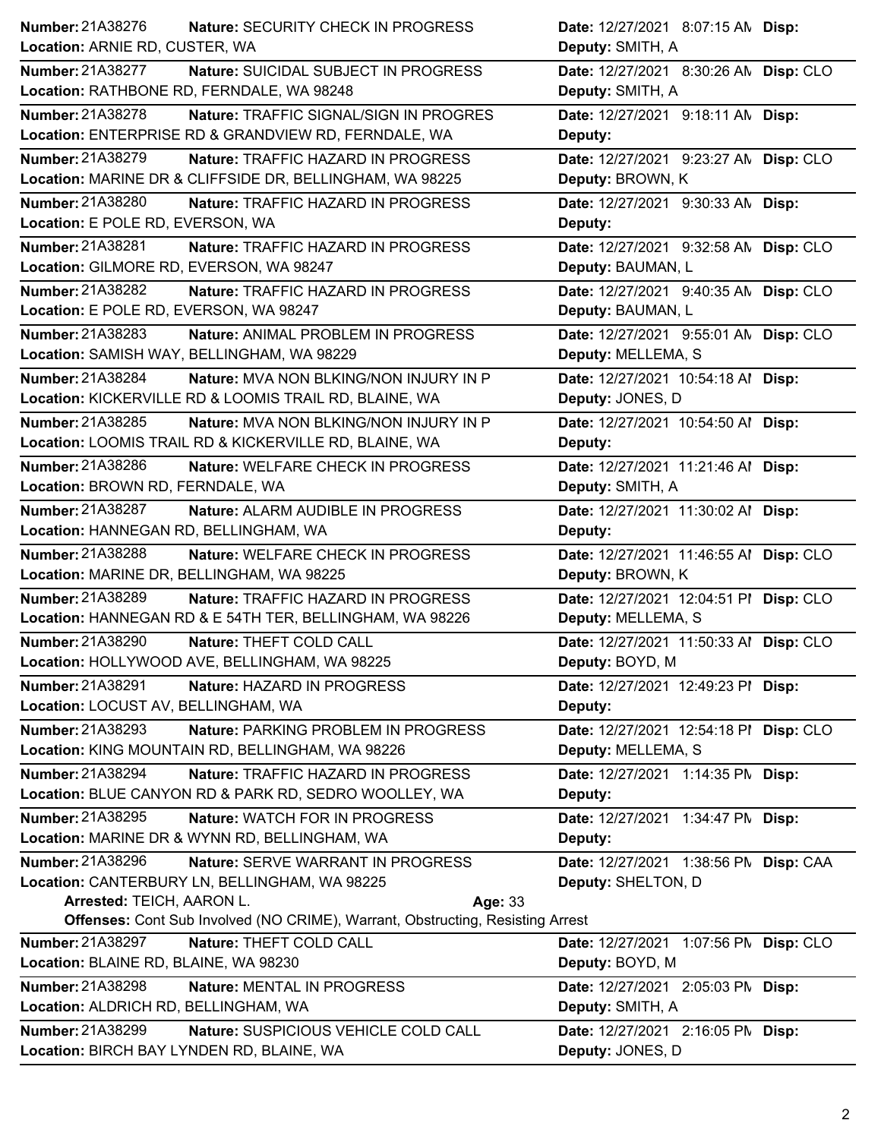| <b>Number: 21A38276</b><br>Nature: SECURITY CHECK IN PROGRESS                         | Date: 12/27/2021 8:07:15 AN Disp:      |
|---------------------------------------------------------------------------------------|----------------------------------------|
| Location: ARNIE RD, CUSTER, WA                                                        | Deputy: SMITH, A                       |
| Number: 21A38277<br>Nature: SUICIDAL SUBJECT IN PROGRESS                              | Date: 12/27/2021 8:30:26 AN Disp: CLO  |
| Location: RATHBONE RD, FERNDALE, WA 98248                                             | Deputy: SMITH, A                       |
| Number: 21A38278<br>Nature: TRAFFIC SIGNAL/SIGN IN PROGRES                            | Date: 12/27/2021 9:18:11 AN Disp:      |
| Location: ENTERPRISE RD & GRANDVIEW RD, FERNDALE, WA                                  | Deputy:                                |
| Number: 21A38279<br>Nature: TRAFFIC HAZARD IN PROGRESS                                | Date: 12/27/2021 9:23:27 AN Disp: CLO  |
| Location: MARINE DR & CLIFFSIDE DR, BELLINGHAM, WA 98225                              | Deputy: BROWN, K                       |
| Number: 21A38280<br>Nature: TRAFFIC HAZARD IN PROGRESS                                | Date: 12/27/2021 9:30:33 AN Disp:      |
| Location: E POLE RD, EVERSON, WA                                                      | Deputy:                                |
| Number: 21A38281<br>Nature: TRAFFIC HAZARD IN PROGRESS                                | Date: 12/27/2021 9:32:58 AN Disp: CLO  |
| Location: GILMORE RD, EVERSON, WA 98247                                               | Deputy: BAUMAN, L                      |
| Number: 21A38282<br>Nature: TRAFFIC HAZARD IN PROGRESS                                | Date: 12/27/2021 9:40:35 AN Disp: CLO  |
| Location: E POLE RD, EVERSON, WA 98247                                                | Deputy: BAUMAN, L                      |
| Number: 21A38283<br>Nature: ANIMAL PROBLEM IN PROGRESS                                | Date: 12/27/2021 9:55:01 AN Disp: CLO  |
| Location: SAMISH WAY, BELLINGHAM, WA 98229                                            | Deputy: MELLEMA, S                     |
| Number: 21A38284<br>Nature: MVA NON BLKING/NON INJURY IN P                            | Date: 12/27/2021 10:54:18 Al Disp:     |
| Location: KICKERVILLE RD & LOOMIS TRAIL RD, BLAINE, WA                                | Deputy: JONES, D                       |
| Number: 21A38285<br><b>Nature: MVA NON BLKING/NON INJURY IN P</b>                     | Date: 12/27/2021 10:54:50 Al Disp:     |
| Location: LOOMIS TRAIL RD & KICKERVILLE RD, BLAINE, WA                                | Deputy:                                |
| Number: 21A38286<br>Nature: WELFARE CHECK IN PROGRESS                                 | Date: 12/27/2021 11:21:46 Al Disp:     |
| Location: BROWN RD, FERNDALE, WA                                                      | Deputy: SMITH, A                       |
| Number: 21A38287<br>Nature: ALARM AUDIBLE IN PROGRESS                                 | Date: 12/27/2021 11:30:02 Al Disp:     |
| Location: HANNEGAN RD, BELLINGHAM, WA                                                 | Deputy:                                |
| Number: 21A38288<br>Nature: WELFARE CHECK IN PROGRESS                                 | Date: 12/27/2021 11:46:55 Al Disp: CLO |
| Location: MARINE DR, BELLINGHAM, WA 98225                                             | Deputy: BROWN, K                       |
| Number: 21A38289<br>Nature: TRAFFIC HAZARD IN PROGRESS                                | Date: 12/27/2021 12:04:51 PI Disp: CLO |
| Location: HANNEGAN RD & E 54TH TER, BELLINGHAM, WA 98226                              | Deputy: MELLEMA, S                     |
| Number: 21A38290<br>Nature: THEFT COLD CALL                                           | Date: 12/27/2021 11:50:33 Al Disp: CLO |
| Location: HOLLYWOOD AVE, BELLINGHAM, WA 98225                                         | Deputy: BOYD, M                        |
| Number: 21A38291<br>Nature: HAZARD IN PROGRESS                                        | Date: 12/27/2021 12:49:23 PI Disp:     |
| Location: LOCUST AV, BELLINGHAM, WA                                                   | Deputy:                                |
| Number: 21A38293<br>Nature: PARKING PROBLEM IN PROGRESS                               | Date: 12/27/2021 12:54:18 PI Disp: CLO |
| Location: KING MOUNTAIN RD, BELLINGHAM, WA 98226                                      | Deputy: MELLEMA, S                     |
| Number: 21A38294<br>Nature: TRAFFIC HAZARD IN PROGRESS                                | Date: 12/27/2021 1:14:35 PM Disp:      |
| Location: BLUE CANYON RD & PARK RD, SEDRO WOOLLEY, WA                                 | Deputy:                                |
| <b>Number: 21A38295</b><br>Nature: WATCH FOR IN PROGRESS                              | Date: 12/27/2021 1:34:47 PM Disp:      |
| Location: MARINE DR & WYNN RD, BELLINGHAM, WA                                         | Deputy:                                |
| Number: 21A38296<br>Nature: SERVE WARRANT IN PROGRESS                                 | Date: 12/27/2021 1:38:56 PM Disp: CAA  |
| Location: CANTERBURY LN, BELLINGHAM, WA 98225                                         | Deputy: SHELTON, D                     |
| Arrested: TEICH, AARON L.<br>Age: 33                                                  |                                        |
| <b>Offenses:</b> Cont Sub Involved (NO CRIME), Warrant, Obstructing, Resisting Arrest |                                        |
| Number: 21A38297<br>Nature: THEFT COLD CALL                                           | Date: 12/27/2021 1:07:56 PM Disp: CLO  |
| Location: BLAINE RD, BLAINE, WA 98230                                                 | Deputy: BOYD, M                        |
| Number: 21A38298<br>Nature: MENTAL IN PROGRESS                                        | Date: 12/27/2021 2:05:03 PM Disp:      |
| Location: ALDRICH RD, BELLINGHAM, WA                                                  | Deputy: SMITH, A                       |
| Number: 21A38299<br>Nature: SUSPICIOUS VEHICLE COLD CALL                              | Date: 12/27/2021 2:16:05 PM Disp:      |
|                                                                                       |                                        |